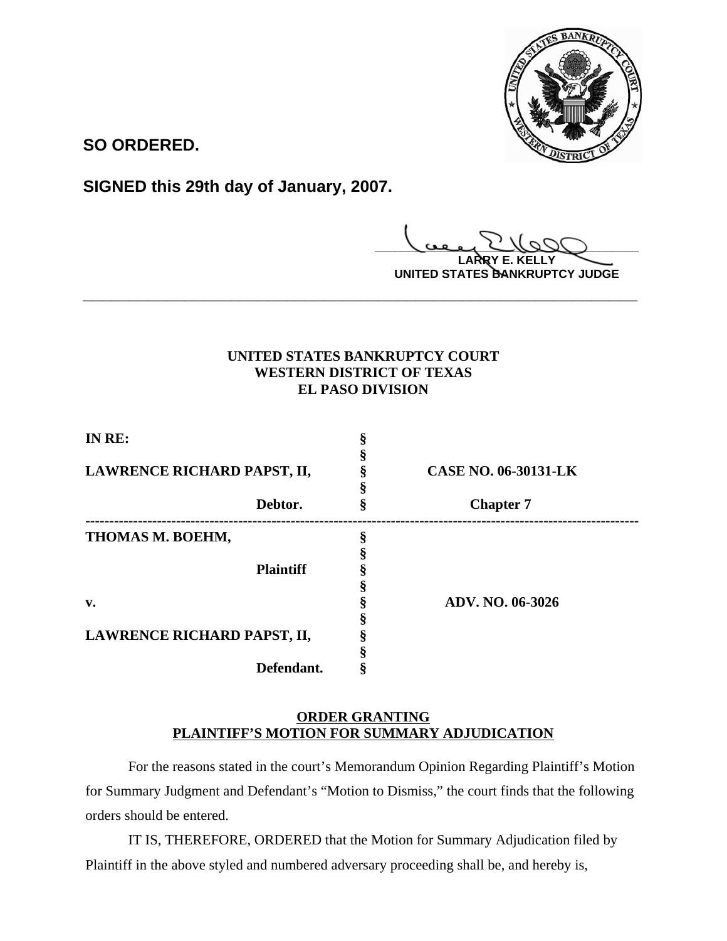

**SO ORDERED.**

**SIGNED this 29th day of January, 2007.**

**\_\_\_\_\_\_\_\_\_\_\_\_\_\_\_\_\_\_\_\_\_\_\_\_\_\_\_\_\_\_\_\_\_\_\_\_\_\_\_\_ LARRY E. KELLY**

**UNITED STATES BANKRUPTCY JUDGE**

## **UNITED STATES BANKRUPTCY COURT WESTERN DISTRICT OF TEXAS EL PASO DIVISION**

**\_\_\_\_\_\_\_\_\_\_\_\_\_\_\_\_\_\_\_\_\_\_\_\_\_\_\_\_\_\_\_\_\_\_\_\_\_\_\_\_\_\_\_\_\_\_\_\_\_\_\_\_\_\_\_\_\_\_\_\_**

| IN RE:                      |                             |
|-----------------------------|-----------------------------|
|                             |                             |
| LAWRENCE RICHARD PAPST, II, | <b>CASE NO. 06-30131-LK</b> |
|                             |                             |
| Debtor.                     | <b>Chapter 7</b>            |
| THOMAS M. BOEHM,            |                             |
|                             |                             |
| <b>Plaintiff</b>            |                             |
|                             |                             |
| $\mathbf{v}$ .              | <b>ADV. NO. 06-3026</b>     |
|                             |                             |
| LAWRENCE RICHARD PAPST, II, |                             |
|                             |                             |
| Defendant.                  |                             |

## **ORDER GRANTING PLAINTIFF'S MOTION FOR SUMMARY ADJUDICATION**

For the reasons stated in the court's Memorandum Opinion Regarding Plaintiff's Motion for Summary Judgment and Defendant's "Motion to Dismiss," the court finds that the following orders should be entered.

IT IS, THEREFORE, ORDERED that the Motion for Summary Adjudication filed by Plaintiff in the above styled and numbered adversary proceeding shall be, and hereby is,